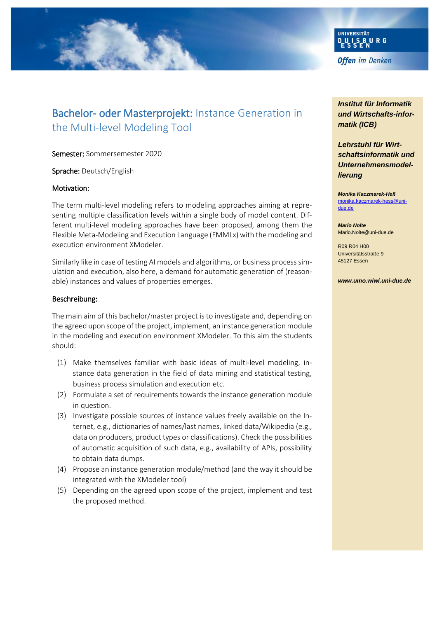

# Bachelor- oder Masterprojekt: Instance Generation in the Multi-level Modeling Tool

Semester: Sommersemester 2020

Sprache: Deutsch/English

#### Motivation:

The term multi-level modeling refers to modeling approaches aiming at representing multiple classification levels within a single body of model content. Different multi-level modeling approaches have been proposed, among them the Flexible Meta-Modeling and Execution Language (FMMLx) with the modeling and execution environment XModeler.

Similarly like in case of testing AI models and algorithms, or business process simulation and execution, also here, a demand for automatic generation of (reasonable) instances and values of properties emerges.

#### Beschreibung:

The main aim of this bachelor/master project is to investigate and, depending on the agreed upon scope of the project, implement, an instance generation module in the modeling and execution environment XModeler. To this aim the students should:

- (1) Make themselves familiar with basic ideas of multi-level modeling, instance data generation in the field of data mining and statistical testing, business process simulation and execution etc.
- (2) Formulate a set of requirements towards the instance generation module in question.
- (3) Investigate possible sources of instance values freely available on the Internet, e.g., dictionaries of names/last names, linked data/Wikipedia (e.g., data on producers, product types or classifications). Check the possibilities of automatic acquisition of such data, e.g., availability of APIs, possibility to obtain data dumps.
- (4) Propose an instance generation module/method (and the way it should be integrated with the XModeler tool)
- (5) Depending on the agreed upon scope of the project, implement and test the proposed method.

*Institut für Informatik und Wirtschafts-informatik (ICB)*

*Lehrstuhl für Wirtschaftsinformatik und Unternehmensmodellierung*

*Monika Kaczmarek-Heß* [monika.kaczmarek-hess@uni](mailto:monika.kaczmarek-hess@uni-due.de)[due.de](mailto:monika.kaczmarek-hess@uni-due.de)

*Mario Nolte* Mario.Nolte@uni-due.de

R09 R04 H00 Universitätsstraße 9 45127 Essen

*www.umo.wiwi.uni-due.de*